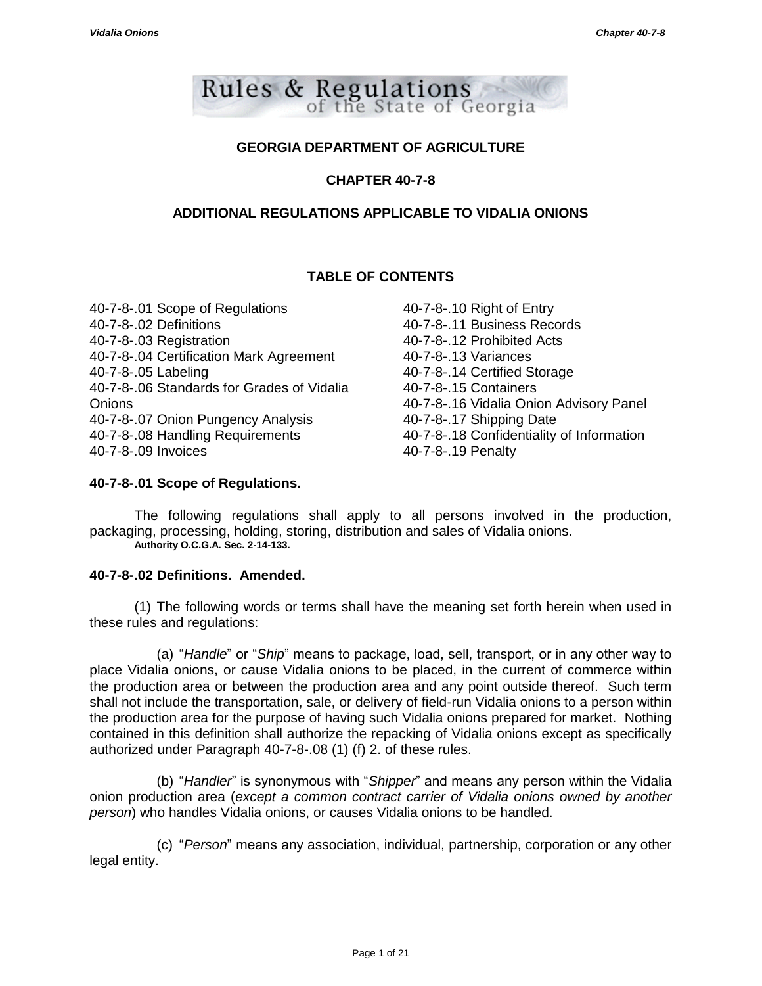

# **GEORGIA DEPARTMENT OF AGRICULTURE**

# **CHAPTER 40-7-8**

# **ADDITIONAL REGULATIONS APPLICABLE TO VIDALIA ONIONS**

# **TABLE OF CONTENTS**

40-7-8-.01 Scope of Regulations 40-7-8-.02 Definitions 40-7-8-.03 Registration 40-7-8-.04 Certification Mark Agreement 40-7-8-.05 Labeling 40-7-8-.06 Standards for Grades of Vidalia **Onions** 40-7-8-.07 Onion Pungency Analysis 40-7-8-.08 Handling Requirements 40-7-8-.09 Invoices

40-7-8-.10 Right of Entry 40-7-8-.11 Business Records 40-7-8-.12 Prohibited Acts 40-7-8-.13 Variances 40-7-8-.14 Certified Storage 40-7-8-.15 Containers 40-7-8-.16 Vidalia Onion Advisory Panel 40-7-8-.17 Shipping Date 40-7-8-.18 Confidentiality of Information 40-7-8-.19 Penalty

# **40-7-8-.01 Scope of Regulations.**

The following regulations shall apply to all persons involved in the production, packaging, processing, holding, storing, distribution and sales of Vidalia onions. **Authority O.C.G.A. Sec. 2-14-133.**

# **40-7-8-.02 Definitions. Amended.**

(1) The following words or terms shall have the meaning set forth herein when used in these rules and regulations:

(a) "*Handle*" or "*Ship*" means to package, load, sell, transport, or in any other way to place Vidalia onions, or cause Vidalia onions to be placed, in the current of commerce within the production area or between the production area and any point outside thereof. Such term shall not include the transportation, sale, or delivery of field-run Vidalia onions to a person within the production area for the purpose of having such Vidalia onions prepared for market. Nothing contained in this definition shall authorize the repacking of Vidalia onions except as specifically authorized under Paragraph 40-7-8-.08 (1) (f) 2. of these rules.

(b) "*Handler*" is synonymous with "*Shipper*" and means any person within the Vidalia onion production area (*except a common contract carrier of Vidalia onions owned by another person*) who handles Vidalia onions, or causes Vidalia onions to be handled.

(c) "*Person*" means any association, individual, partnership, corporation or any other legal entity.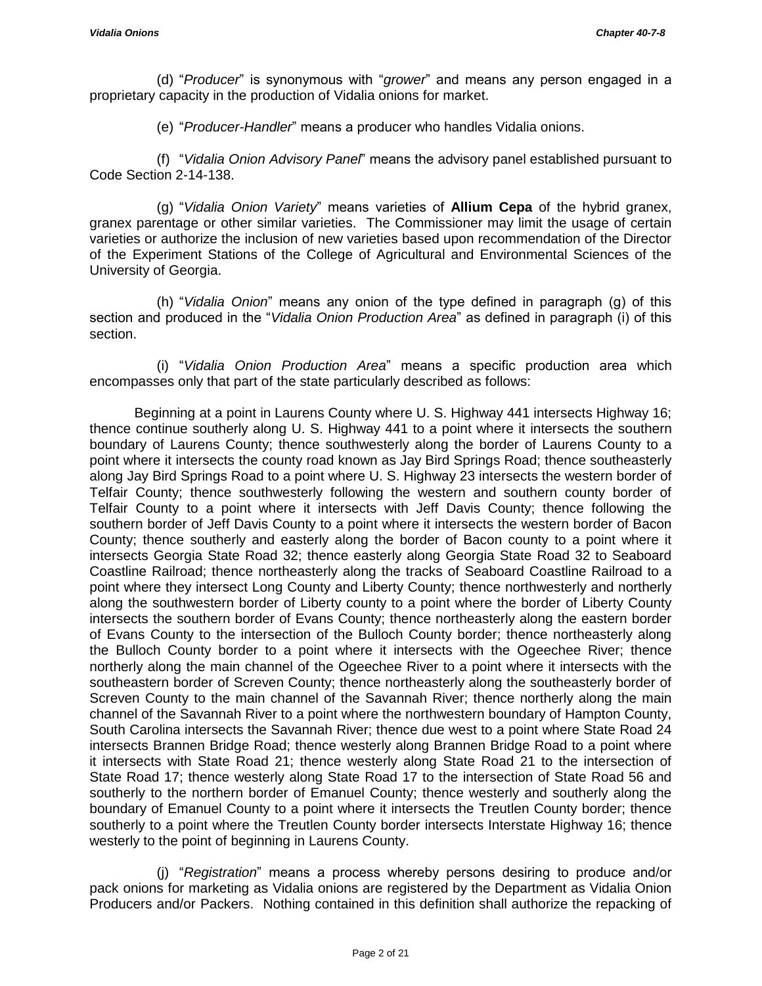(d) "*Producer*" is synonymous with "*grower*" and means any person engaged in a proprietary capacity in the production of Vidalia onions for market.

(e) "*Producer-Handler*" means a producer who handles Vidalia onions.

(f) "*Vidalia Onion Advisory Panel*" means the advisory panel established pursuant to Code Section 2-14-138.

(g) "*Vidalia Onion Variety*" means varieties of **Allium Cepa** of the hybrid granex, granex parentage or other similar varieties. The Commissioner may limit the usage of certain varieties or authorize the inclusion of new varieties based upon recommendation of the Director of the Experiment Stations of the College of Agricultural and Environmental Sciences of the University of Georgia.

(h) "*Vidalia Onion*" means any onion of the type defined in paragraph (g) of this section and produced in the "*Vidalia Onion Production Area*" as defined in paragraph (i) of this section.

(i) "*Vidalia Onion Production Area*" means a specific production area which encompasses only that part of the state particularly described as follows:

Beginning at a point in Laurens County where U. S. Highway 441 intersects Highway 16; thence continue southerly along U. S. Highway 441 to a point where it intersects the southern boundary of Laurens County; thence southwesterly along the border of Laurens County to a point where it intersects the county road known as Jay Bird Springs Road; thence southeasterly along Jay Bird Springs Road to a point where U. S. Highway 23 intersects the western border of Telfair County; thence southwesterly following the western and southern county border of Telfair County to a point where it intersects with Jeff Davis County; thence following the southern border of Jeff Davis County to a point where it intersects the western border of Bacon County; thence southerly and easterly along the border of Bacon county to a point where it intersects Georgia State Road 32; thence easterly along Georgia State Road 32 to Seaboard Coastline Railroad; thence northeasterly along the tracks of Seaboard Coastline Railroad to a point where they intersect Long County and Liberty County; thence northwesterly and northerly along the southwestern border of Liberty county to a point where the border of Liberty County intersects the southern border of Evans County; thence northeasterly along the eastern border of Evans County to the intersection of the Bulloch County border; thence northeasterly along the Bulloch County border to a point where it intersects with the Ogeechee River; thence northerly along the main channel of the Ogeechee River to a point where it intersects with the southeastern border of Screven County; thence northeasterly along the southeasterly border of Screven County to the main channel of the Savannah River; thence northerly along the main channel of the Savannah River to a point where the northwestern boundary of Hampton County, South Carolina intersects the Savannah River; thence due west to a point where State Road 24 intersects Brannen Bridge Road; thence westerly along Brannen Bridge Road to a point where it intersects with State Road 21; thence westerly along State Road 21 to the intersection of State Road 17; thence westerly along State Road 17 to the intersection of State Road 56 and southerly to the northern border of Emanuel County; thence westerly and southerly along the boundary of Emanuel County to a point where it intersects the Treutlen County border; thence southerly to a point where the Treutlen County border intersects Interstate Highway 16; thence westerly to the point of beginning in Laurens County.

(j) "*Registration*" means a process whereby persons desiring to produce and/or pack onions for marketing as Vidalia onions are registered by the Department as Vidalia Onion Producers and/or Packers. Nothing contained in this definition shall authorize the repacking of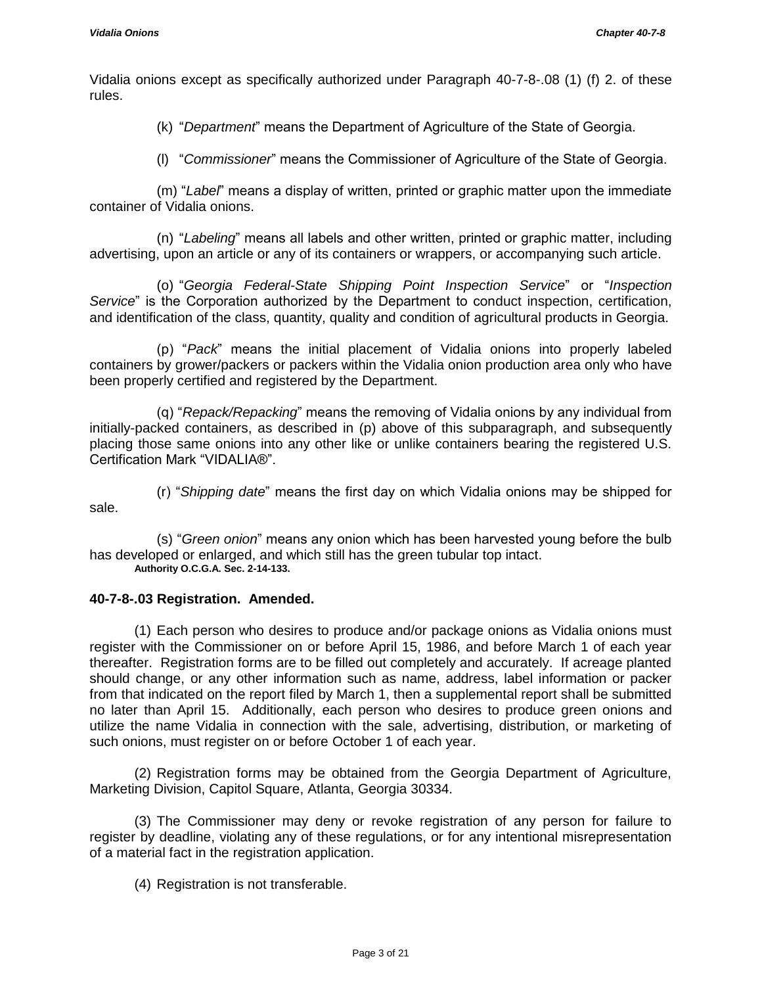Vidalia onions except as specifically authorized under Paragraph 40-7-8-.08 (1) (f) 2. of these rules.

(k) "*Department*" means the Department of Agriculture of the State of Georgia.

(l) "*Commissioner*" means the Commissioner of Agriculture of the State of Georgia.

(m) "*Label*" means a display of written, printed or graphic matter upon the immediate container of Vidalia onions.

(n) "*Labeling*" means all labels and other written, printed or graphic matter, including advertising, upon an article or any of its containers or wrappers, or accompanying such article.

(o) "*Georgia Federal-State Shipping Point Inspection Service*" or "*Inspection Service*" is the Corporation authorized by the Department to conduct inspection, certification, and identification of the class, quantity, quality and condition of agricultural products in Georgia.

(p) "*Pack*" means the initial placement of Vidalia onions into properly labeled containers by grower/packers or packers within the Vidalia onion production area only who have been properly certified and registered by the Department.

(q) "*Repack/Repacking*" means the removing of Vidalia onions by any individual from initially-packed containers, as described in (p) above of this subparagraph, and subsequently placing those same onions into any other like or unlike containers bearing the registered U.S. Certification Mark "VIDALIA®".

(r) "*Shipping date*" means the first day on which Vidalia onions may be shipped for sale.

(s) "*Green onion*" means any onion which has been harvested young before the bulb has developed or enlarged, and which still has the green tubular top intact. **Authority O.C.G.A. Sec. 2-14-133.**

# **40-7-8-.03 Registration. Amended.**

(1) Each person who desires to produce and/or package onions as Vidalia onions must register with the Commissioner on or before April 15, 1986, and before March 1 of each year thereafter. Registration forms are to be filled out completely and accurately. If acreage planted should change, or any other information such as name, address, label information or packer from that indicated on the report filed by March 1, then a supplemental report shall be submitted no later than April 15. Additionally, each person who desires to produce green onions and utilize the name Vidalia in connection with the sale, advertising, distribution, or marketing of such onions, must register on or before October 1 of each year.

(2) Registration forms may be obtained from the Georgia Department of Agriculture, Marketing Division, Capitol Square, Atlanta, Georgia 30334.

(3) The Commissioner may deny or revoke registration of any person for failure to register by deadline, violating any of these regulations, or for any intentional misrepresentation of a material fact in the registration application.

(4) Registration is not transferable.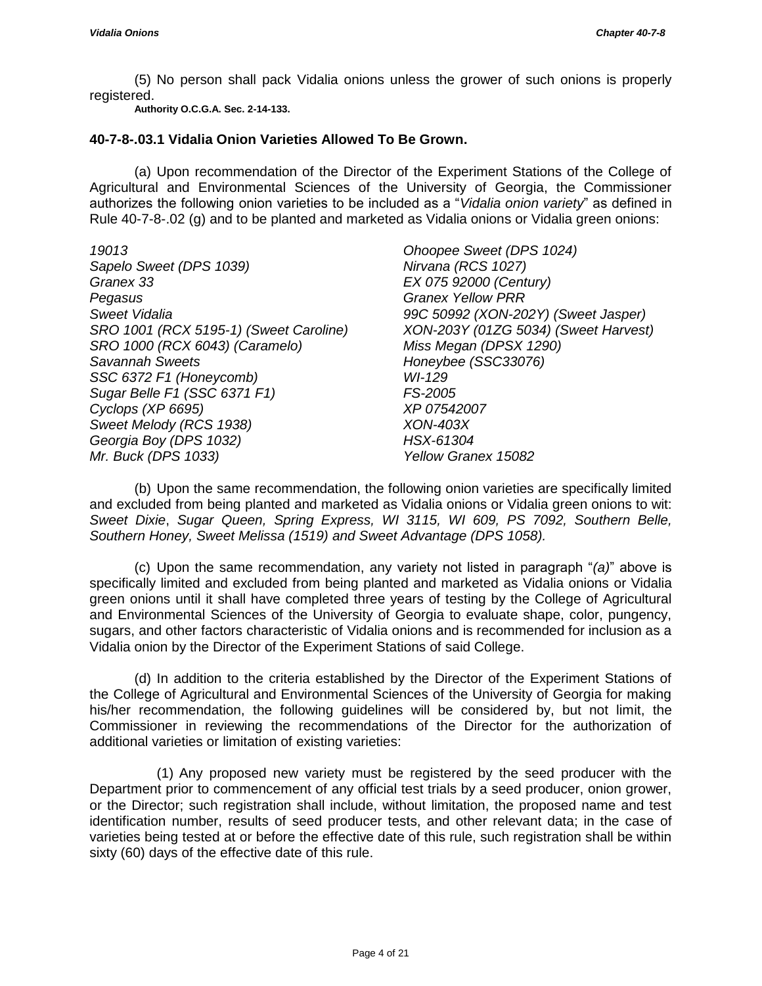(5) No person shall pack Vidalia onions unless the grower of such onions is properly registered.

**Authority O.C.G.A. Sec. 2-14-133.**

#### **40-7-8-.03.1 Vidalia Onion Varieties Allowed To Be Grown.**

(a) Upon recommendation of the Director of the Experiment Stations of the College of Agricultural and Environmental Sciences of the University of Georgia, the Commissioner authorizes the following onion varieties to be included as a "*Vidalia onion variety*" as defined in Rule 40-7-8-.02 (g) and to be planted and marketed as Vidalia onions or Vidalia green onions:

*19013 Sapelo Sweet (DPS 1039) Granex 33 Pegasus Sweet Vidalia SRO 1001 (RCX 5195-1) (Sweet Caroline) SRO 1000 (RCX 6043) (Caramelo) Savannah Sweets SSC 6372 F1 (Honeycomb) Sugar Belle F1 (SSC 6371 F1) Cyclops (XP 6695) Sweet Melody (RCS 1938) Georgia Boy (DPS 1032) Mr. Buck (DPS 1033)*

*Ohoopee Sweet (DPS 1024) Nirvana (RCS 1027) EX 075 92000 (Century) Granex Yellow PRR 99C 50992 (XON-202Y) (Sweet Jasper) XON-203Y (01ZG 5034) (Sweet Harvest) Miss Megan (DPSX 1290) Honeybee (SSC33076) WI-129 FS-2005 XP 07542007 XON-403X HSX-61304 Yellow Granex 15082*

(b) Upon the same recommendation, the following onion varieties are specifically limited and excluded from being planted and marketed as Vidalia onions or Vidalia green onions to wit: *Sweet Dixie*, *Sugar Queen, Spring Express, WI 3115, WI 609, PS 7092, Southern Belle, Southern Honey, Sweet Melissa (1519) and Sweet Advantage (DPS 1058).*

(c) Upon the same recommendation, any variety not listed in paragraph "*(a)*" above is specifically limited and excluded from being planted and marketed as Vidalia onions or Vidalia green onions until it shall have completed three years of testing by the College of Agricultural and Environmental Sciences of the University of Georgia to evaluate shape, color, pungency, sugars, and other factors characteristic of Vidalia onions and is recommended for inclusion as a Vidalia onion by the Director of the Experiment Stations of said College.

(d) In addition to the criteria established by the Director of the Experiment Stations of the College of Agricultural and Environmental Sciences of the University of Georgia for making his/her recommendation, the following guidelines will be considered by, but not limit, the Commissioner in reviewing the recommendations of the Director for the authorization of additional varieties or limitation of existing varieties:

(1) Any proposed new variety must be registered by the seed producer with the Department prior to commencement of any official test trials by a seed producer, onion grower, or the Director; such registration shall include, without limitation, the proposed name and test identification number, results of seed producer tests, and other relevant data; in the case of varieties being tested at or before the effective date of this rule, such registration shall be within sixty (60) days of the effective date of this rule.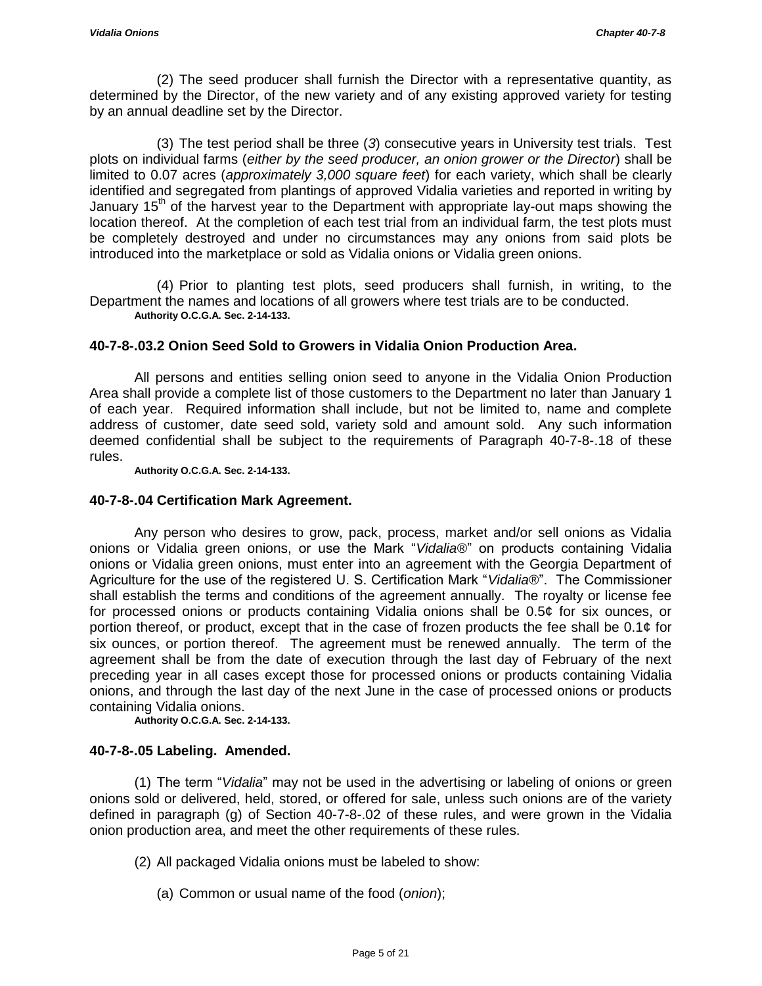(2) The seed producer shall furnish the Director with a representative quantity, as determined by the Director, of the new variety and of any existing approved variety for testing by an annual deadline set by the Director.

(3) The test period shall be three (*3*) consecutive years in University test trials. Test plots on individual farms (*either by the seed producer, an onion grower or the Director*) shall be limited to 0.07 acres (*approximately 3,000 square feet*) for each variety, which shall be clearly identified and segregated from plantings of approved Vidalia varieties and reported in writing by January  $15<sup>th</sup>$  of the harvest year to the Department with appropriate lay-out maps showing the location thereof. At the completion of each test trial from an individual farm, the test plots must be completely destroyed and under no circumstances may any onions from said plots be introduced into the marketplace or sold as Vidalia onions or Vidalia green onions.

(4) Prior to planting test plots, seed producers shall furnish, in writing, to the Department the names and locations of all growers where test trials are to be conducted. **Authority O.C.G.A. Sec. 2-14-133.**

# **40-7-8-.03.2 Onion Seed Sold to Growers in Vidalia Onion Production Area.**

All persons and entities selling onion seed to anyone in the Vidalia Onion Production Area shall provide a complete list of those customers to the Department no later than January 1 of each year. Required information shall include, but not be limited to, name and complete address of customer, date seed sold, variety sold and amount sold. Any such information deemed confidential shall be subject to the requirements of Paragraph 40-7-8-.18 of these rules.

**Authority O.C.G.A. Sec. 2-14-133.**

## **40-7-8-.04 Certification Mark Agreement.**

Any person who desires to grow, pack, process, market and/or sell onions as Vidalia onions or Vidalia green onions, or use the Mark "*Vidalia®*" on products containing Vidalia onions or Vidalia green onions, must enter into an agreement with the Georgia Department of Agriculture for the use of the registered U. S. Certification Mark "*Vidalia®*". The Commissioner shall establish the terms and conditions of the agreement annually. The royalty or license fee for processed onions or products containing Vidalia onions shall be 0.5¢ for six ounces, or portion thereof, or product, except that in the case of frozen products the fee shall be 0.1¢ for six ounces, or portion thereof. The agreement must be renewed annually. The term of the agreement shall be from the date of execution through the last day of February of the next preceding year in all cases except those for processed onions or products containing Vidalia onions, and through the last day of the next June in the case of processed onions or products containing Vidalia onions.

**Authority O.C.G.A. Sec. 2-14-133.**

# **40-7-8-.05 Labeling. Amended.**

(1) The term "*Vidalia*" may not be used in the advertising or labeling of onions or green onions sold or delivered, held, stored, or offered for sale, unless such onions are of the variety defined in paragraph (g) of Section 40-7-8-.02 of these rules, and were grown in the Vidalia onion production area, and meet the other requirements of these rules.

(2) All packaged Vidalia onions must be labeled to show:

(a) Common or usual name of the food (*onion*);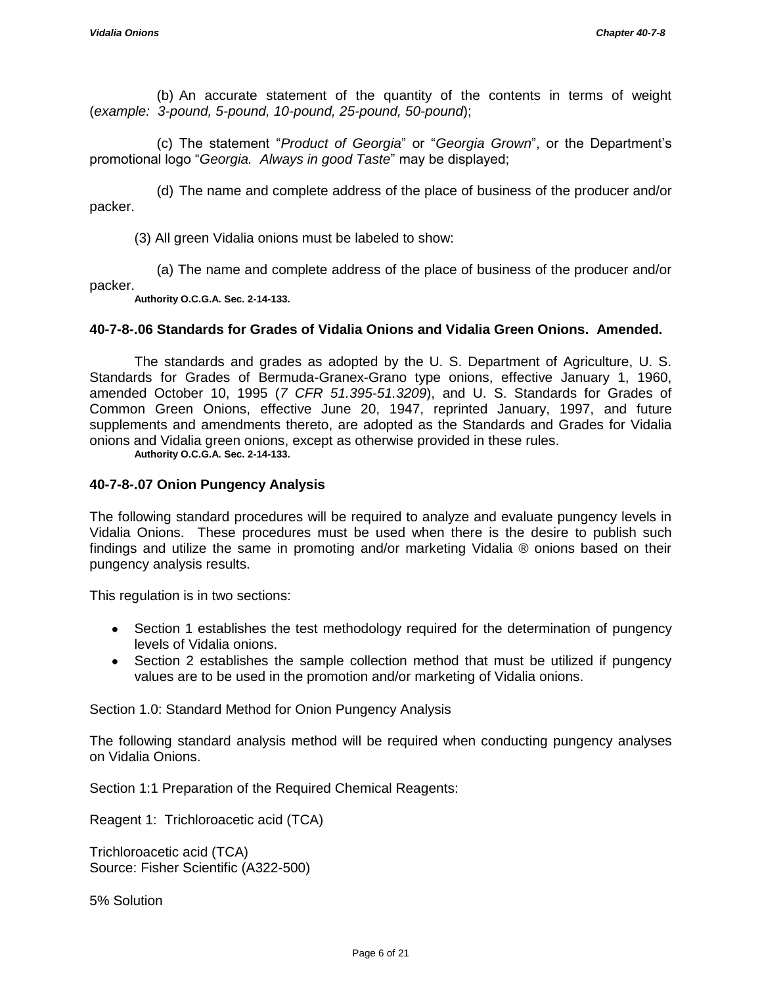(b) An accurate statement of the quantity of the contents in terms of weight (*example: 3-pound, 5-pound, 10-pound, 25-pound, 50-pound*);

(c) The statement "*Product of Georgia*" or "*Georgia Grown*", or the Department's promotional logo "*Georgia. Always in good Taste*" may be displayed;

(d) The name and complete address of the place of business of the producer and/or packer.

(3) All green Vidalia onions must be labeled to show:

(a) The name and complete address of the place of business of the producer and/or packer.

**Authority O.C.G.A. Sec. 2-14-133.**

#### **40-7-8-.06 Standards for Grades of Vidalia Onions and Vidalia Green Onions. Amended.**

The standards and grades as adopted by the U. S. Department of Agriculture, U. S. Standards for Grades of Bermuda-Granex-Grano type onions, effective January 1, 1960, amended October 10, 1995 (*7 CFR 51.395-51.3209*), and U. S. Standards for Grades of Common Green Onions, effective June 20, 1947, reprinted January, 1997, and future supplements and amendments thereto, are adopted as the Standards and Grades for Vidalia onions and Vidalia green onions, except as otherwise provided in these rules. **Authority O.C.G.A. Sec. 2-14-133.**

#### **40-7-8-.07 Onion Pungency Analysis**

The following standard procedures will be required to analyze and evaluate pungency levels in Vidalia Onions. These procedures must be used when there is the desire to publish such findings and utilize the same in promoting and/or marketing Vidalia ® onions based on their pungency analysis results.

This regulation is in two sections:

- Section 1 establishes the test methodology required for the determination of pungency levels of Vidalia onions.
- Section 2 establishes the sample collection method that must be utilized if pungency values are to be used in the promotion and/or marketing of Vidalia onions.

Section 1.0: Standard Method for Onion Pungency Analysis

The following standard analysis method will be required when conducting pungency analyses on Vidalia Onions.

Section 1:1 Preparation of the Required Chemical Reagents:

Reagent 1: Trichloroacetic acid (TCA)

Trichloroacetic acid (TCA) Source: Fisher Scientific (A322-500)

5% Solution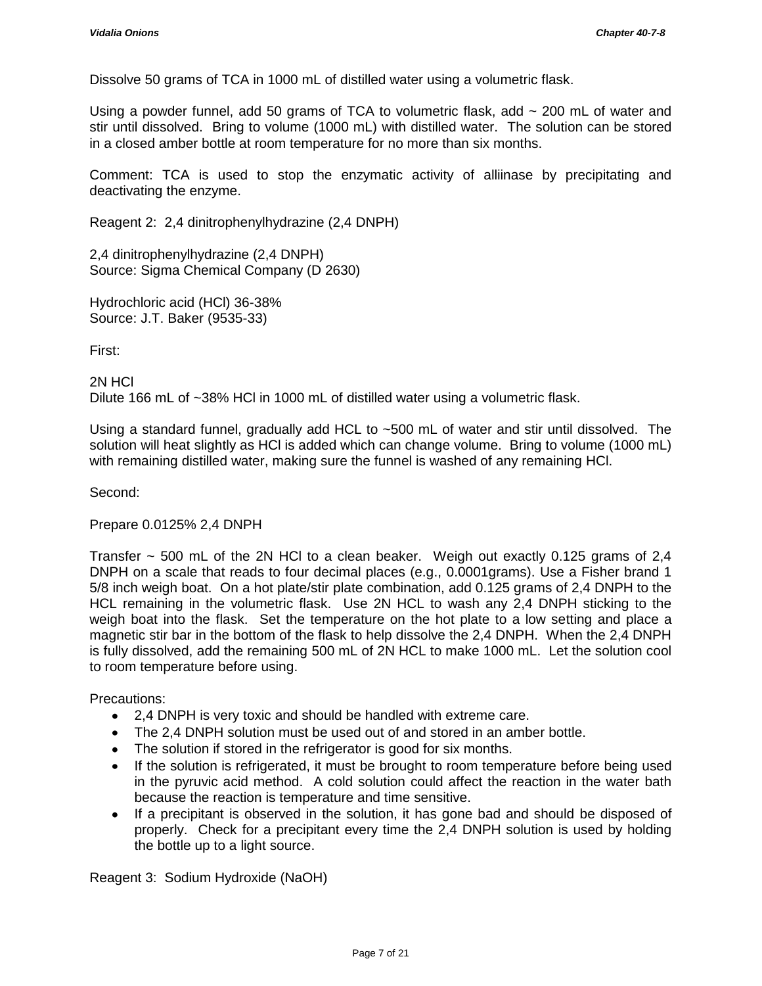Dissolve 50 grams of TCA in 1000 mL of distilled water using a volumetric flask.

Using a powder funnel, add 50 grams of TCA to volumetric flask, add  $\sim$  200 mL of water and stir until dissolved. Bring to volume (1000 mL) with distilled water. The solution can be stored in a closed amber bottle at room temperature for no more than six months.

Comment: TCA is used to stop the enzymatic activity of alliinase by precipitating and deactivating the enzyme.

Reagent 2: 2,4 dinitrophenylhydrazine (2,4 DNPH)

2,4 dinitrophenylhydrazine (2,4 DNPH) Source: Sigma Chemical Company (D 2630)

Hydrochloric acid (HCl) 36-38% Source: J.T. Baker (9535-33)

First:

2N HCl Dilute 166 mL of ~38% HCl in 1000 mL of distilled water using a volumetric flask.

Using a standard funnel, gradually add HCL to ~500 mL of water and stir until dissolved. The solution will heat slightly as HCl is added which can change volume. Bring to volume (1000 mL) with remaining distilled water, making sure the funnel is washed of any remaining HCl.

Second:

Prepare 0.0125% 2,4 DNPH

Transfer  $\sim$  500 mL of the 2N HCl to a clean beaker. Weigh out exactly 0.125 grams of 2,4 DNPH on a scale that reads to four decimal places (e.g., 0.0001grams). Use a Fisher brand 1 5/8 inch weigh boat. On a hot plate/stir plate combination, add 0.125 grams of 2,4 DNPH to the HCL remaining in the volumetric flask. Use 2N HCL to wash any 2,4 DNPH sticking to the weigh boat into the flask. Set the temperature on the hot plate to a low setting and place a magnetic stir bar in the bottom of the flask to help dissolve the 2,4 DNPH. When the 2,4 DNPH is fully dissolved, add the remaining 500 mL of 2N HCL to make 1000 mL. Let the solution cool to room temperature before using.

Precautions:

- 2,4 DNPH is very toxic and should be handled with extreme care.
- The 2,4 DNPH solution must be used out of and stored in an amber bottle.
- The solution if stored in the refrigerator is good for six months.
- If the solution is refrigerated, it must be brought to room temperature before being used in the pyruvic acid method. A cold solution could affect the reaction in the water bath because the reaction is temperature and time sensitive.
- If a precipitant is observed in the solution, it has gone bad and should be disposed of properly. Check for a precipitant every time the 2,4 DNPH solution is used by holding the bottle up to a light source.

Reagent 3: Sodium Hydroxide (NaOH)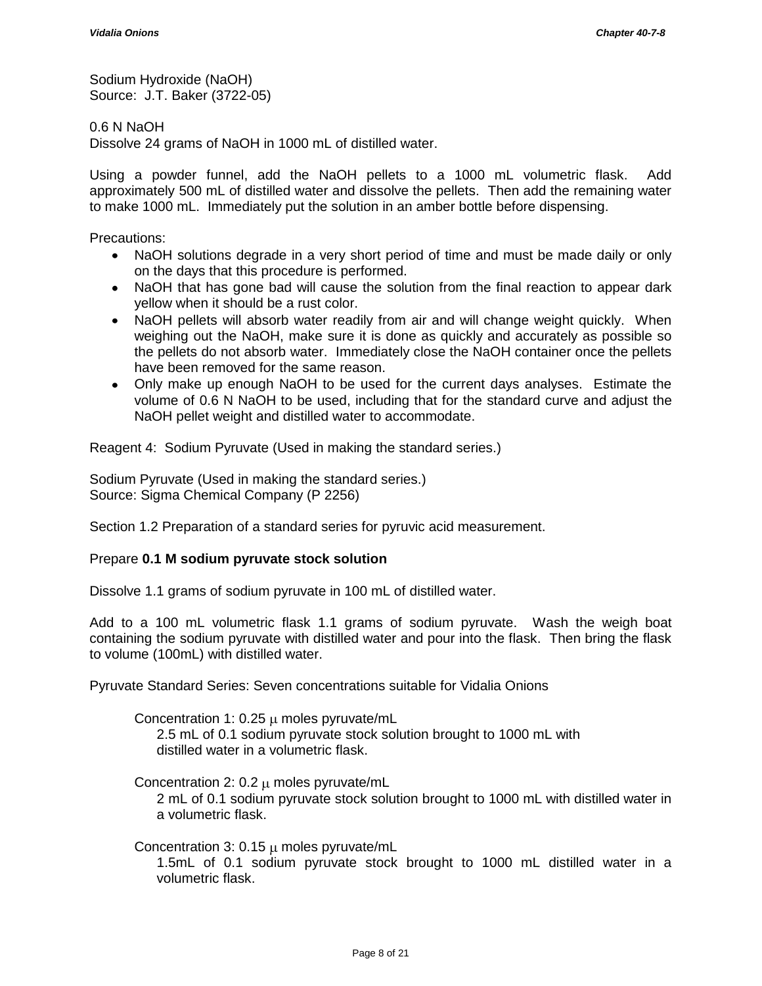Sodium Hydroxide (NaOH) Source: J.T. Baker (3722-05)

0.6 N NaOH

Dissolve 24 grams of NaOH in 1000 mL of distilled water.

Using a powder funnel, add the NaOH pellets to a 1000 mL volumetric flask. Add approximately 500 mL of distilled water and dissolve the pellets. Then add the remaining water to make 1000 mL. Immediately put the solution in an amber bottle before dispensing.

Precautions:

- NaOH solutions degrade in a very short period of time and must be made daily or only on the days that this procedure is performed.
- NaOH that has gone bad will cause the solution from the final reaction to appear dark yellow when it should be a rust color.
- NaOH pellets will absorb water readily from air and will change weight quickly. When weighing out the NaOH, make sure it is done as quickly and accurately as possible so the pellets do not absorb water. Immediately close the NaOH container once the pellets have been removed for the same reason.
- Only make up enough NaOH to be used for the current days analyses. Estimate the volume of 0.6 N NaOH to be used, including that for the standard curve and adjust the NaOH pellet weight and distilled water to accommodate.

Reagent 4: Sodium Pyruvate (Used in making the standard series.)

Sodium Pyruvate (Used in making the standard series.) Source: Sigma Chemical Company (P 2256)

Section 1.2 Preparation of a standard series for pyruvic acid measurement.

#### Prepare **0.1 M sodium pyruvate stock solution**

Dissolve 1.1 grams of sodium pyruvate in 100 mL of distilled water.

Add to a 100 mL volumetric flask 1.1 grams of sodium pyruvate. Wash the weigh boat containing the sodium pyruvate with distilled water and pour into the flask. Then bring the flask to volume (100mL) with distilled water.

Pyruvate Standard Series: Seven concentrations suitable for Vidalia Onions

Concentration 1: 0.25  $\mu$  moles pyruvate/mL 2.5 mL of 0.1 sodium pyruvate stock solution brought to 1000 mL with distilled water in a volumetric flask.

Concentration 2:  $0.2 \mu$  moles pyruvate/mL 2 mL of 0.1 sodium pyruvate stock solution brought to 1000 mL with distilled water in a volumetric flask.

Concentration 3: 0.15  $\mu$  moles pyruvate/mL

1.5mL of 0.1 sodium pyruvate stock brought to 1000 mL distilled water in a volumetric flask.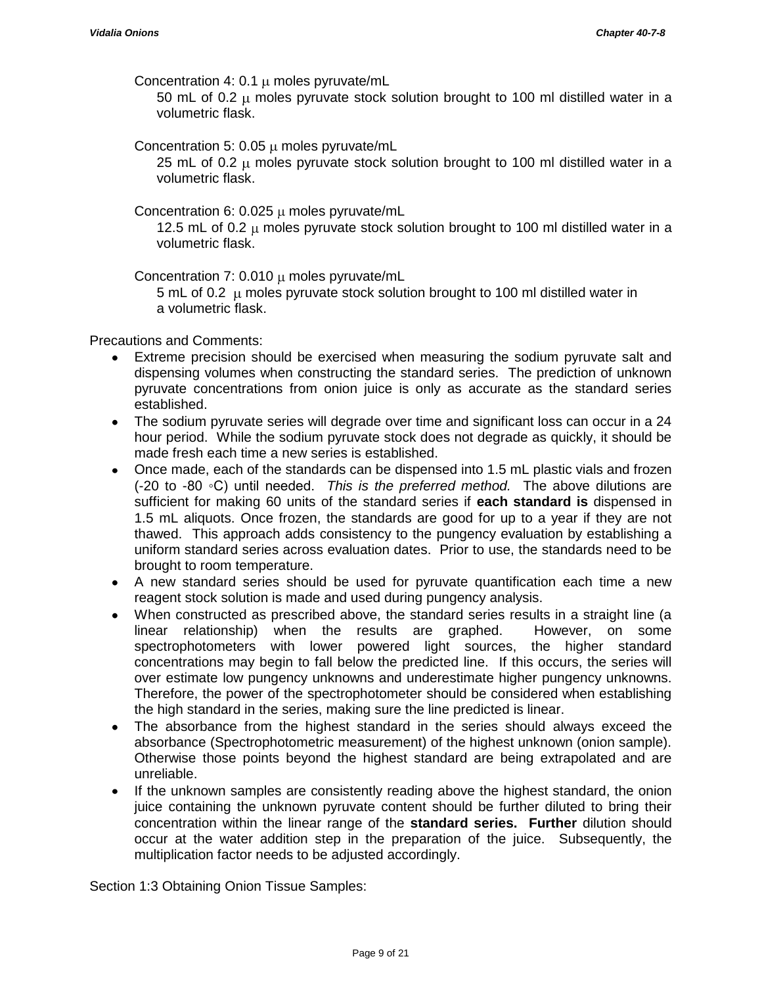Concentration 4: 0.1  $\mu$  moles pyruvate/mL

50 mL of 0.2  $\mu$  moles pyruvate stock solution brought to 100 ml distilled water in a volumetric flask.

Concentration 5: 0.05  $\mu$  moles pyruvate/mL

25 mL of 0.2  $\mu$  moles pyruvate stock solution brought to 100 ml distilled water in a volumetric flask.

Concentration 6: 0.025  $\mu$  moles pyruvate/mL

12.5 mL of 0.2  $\mu$  moles pyruvate stock solution brought to 100 ml distilled water in a volumetric flask.

Concentration 7: 0.010  $\mu$  moles pyruvate/mL

5 mL of 0.2  $\mu$  moles pyruvate stock solution brought to 100 ml distilled water in a volumetric flask.

Precautions and Comments:

- Extreme precision should be exercised when measuring the sodium pyruvate salt and dispensing volumes when constructing the standard series. The prediction of unknown pyruvate concentrations from onion juice is only as accurate as the standard series established.
- The sodium pyruvate series will degrade over time and significant loss can occur in a 24  $\bullet$ hour period. While the sodium pyruvate stock does not degrade as quickly, it should be made fresh each time a new series is established.
- Once made, each of the standards can be dispensed into 1.5 mL plastic vials and frozen (-20 to -80 ◦C) until needed. *This is the preferred method.* The above dilutions are sufficient for making 60 units of the standard series if **each standard is** dispensed in 1.5 mL aliquots. Once frozen, the standards are good for up to a year if they are not thawed. This approach adds consistency to the pungency evaluation by establishing a uniform standard series across evaluation dates. Prior to use, the standards need to be brought to room temperature.
- A new standard series should be used for pyruvate quantification each time a new reagent stock solution is made and used during pungency analysis.
- When constructed as prescribed above, the standard series results in a straight line (a linear relationship) when the results are graphed. However, on some spectrophotometers with lower powered light sources, the higher standard concentrations may begin to fall below the predicted line. If this occurs, the series will over estimate low pungency unknowns and underestimate higher pungency unknowns. Therefore, the power of the spectrophotometer should be considered when establishing the high standard in the series, making sure the line predicted is linear.
- The absorbance from the highest standard in the series should always exceed the  $\bullet$ absorbance (Spectrophotometric measurement) of the highest unknown (onion sample). Otherwise those points beyond the highest standard are being extrapolated and are unreliable.
- If the unknown samples are consistently reading above the highest standard, the onion  $\bullet$ juice containing the unknown pyruvate content should be further diluted to bring their concentration within the linear range of the **standard series. Further** dilution should occur at the water addition step in the preparation of the juice. Subsequently, the multiplication factor needs to be adjusted accordingly.

Section 1:3 Obtaining Onion Tissue Samples: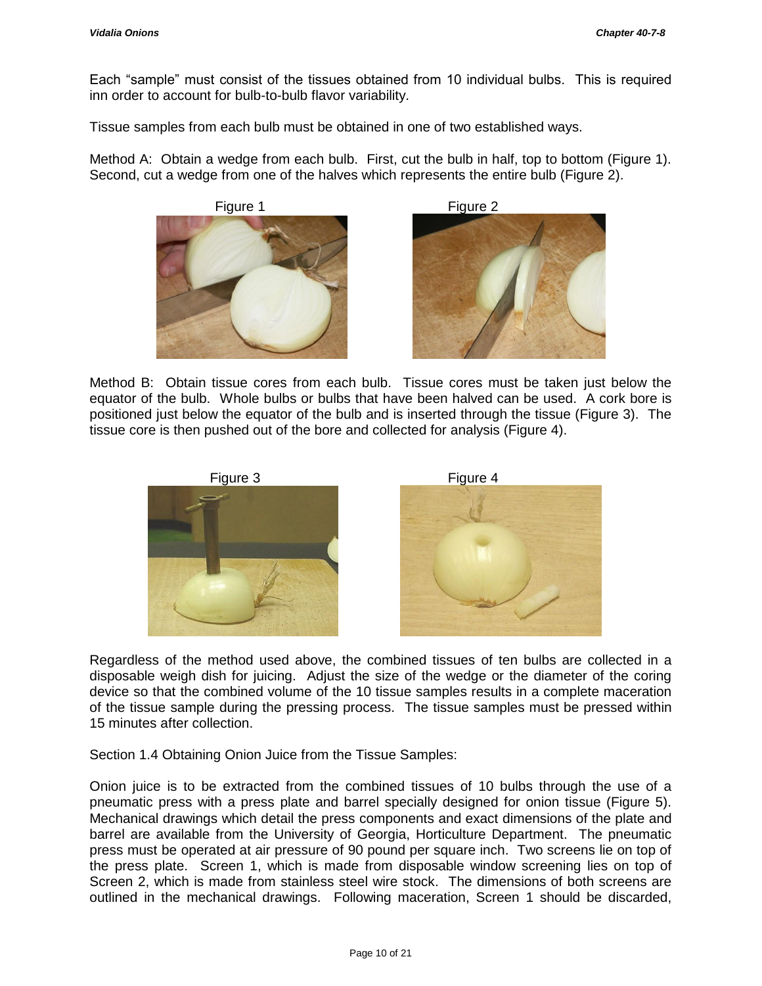Each "sample" must consist of the tissues obtained from 10 individual bulbs. This is required inn order to account for bulb-to-bulb flavor variability.

Tissue samples from each bulb must be obtained in one of two established ways.

Method A: Obtain a wedge from each bulb. First, cut the bulb in half, top to bottom (Figure 1). Second, cut a wedge from one of the halves which represents the entire bulb (Figure 2).





Method B: Obtain tissue cores from each bulb. Tissue cores must be taken just below the equator of the bulb. Whole bulbs or bulbs that have been halved can be used. A cork bore is positioned just below the equator of the bulb and is inserted through the tissue (Figure 3). The tissue core is then pushed out of the bore and collected for analysis (Figure 4).



Regardless of the method used above, the combined tissues of ten bulbs are collected in a disposable weigh dish for juicing. Adjust the size of the wedge or the diameter of the coring device so that the combined volume of the 10 tissue samples results in a complete maceration of the tissue sample during the pressing process. The tissue samples must be pressed within 15 minutes after collection.

Section 1.4 Obtaining Onion Juice from the Tissue Samples:

Onion juice is to be extracted from the combined tissues of 10 bulbs through the use of a pneumatic press with a press plate and barrel specially designed for onion tissue (Figure 5). Mechanical drawings which detail the press components and exact dimensions of the plate and barrel are available from the University of Georgia, Horticulture Department. The pneumatic press must be operated at air pressure of 90 pound per square inch. Two screens lie on top of the press plate. Screen 1, which is made from disposable window screening lies on top of Screen 2, which is made from stainless steel wire stock. The dimensions of both screens are outlined in the mechanical drawings. Following maceration, Screen 1 should be discarded,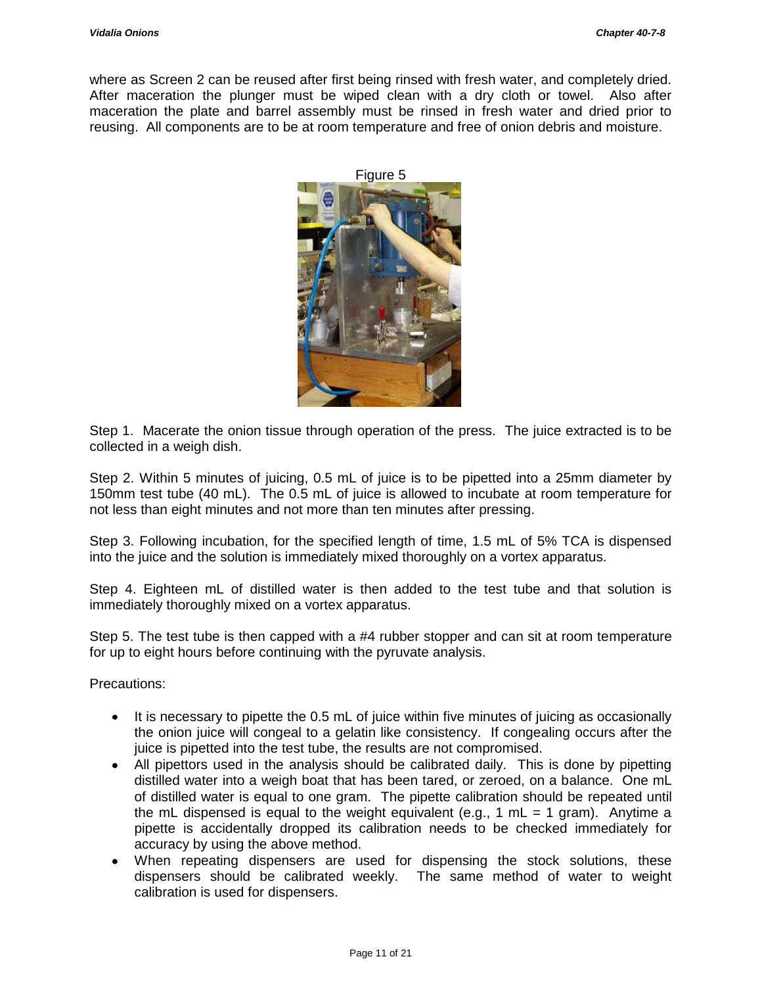where as Screen 2 can be reused after first being rinsed with fresh water, and completely dried. After maceration the plunger must be wiped clean with a dry cloth or towel. Also after maceration the plate and barrel assembly must be rinsed in fresh water and dried prior to reusing. All components are to be at room temperature and free of onion debris and moisture.



Step 1. Macerate the onion tissue through operation of the press. The juice extracted is to be collected in a weigh dish.

Step 2. Within 5 minutes of juicing, 0.5 mL of juice is to be pipetted into a 25mm diameter by 150mm test tube (40 mL). The 0.5 mL of juice is allowed to incubate at room temperature for not less than eight minutes and not more than ten minutes after pressing.

Step 3. Following incubation, for the specified length of time, 1.5 mL of 5% TCA is dispensed into the juice and the solution is immediately mixed thoroughly on a vortex apparatus.

Step 4. Eighteen mL of distilled water is then added to the test tube and that solution is immediately thoroughly mixed on a vortex apparatus.

Step 5. The test tube is then capped with a #4 rubber stopper and can sit at room temperature for up to eight hours before continuing with the pyruvate analysis.

Precautions:

- It is necessary to pipette the 0.5 mL of juice within five minutes of juicing as occasionally  $\bullet$ the onion juice will congeal to a gelatin like consistency. If congealing occurs after the juice is pipetted into the test tube, the results are not compromised.
- All pipettors used in the analysis should be calibrated daily. This is done by pipetting distilled water into a weigh boat that has been tared, or zeroed, on a balance. One mL of distilled water is equal to one gram. The pipette calibration should be repeated until the mL dispensed is equal to the weight equivalent (e.g., 1 mL = 1 gram). Anytime a pipette is accidentally dropped its calibration needs to be checked immediately for accuracy by using the above method.
- When repeating dispensers are used for dispensing the stock solutions, these dispensers should be calibrated weekly. The same method of water to weight calibration is used for dispensers.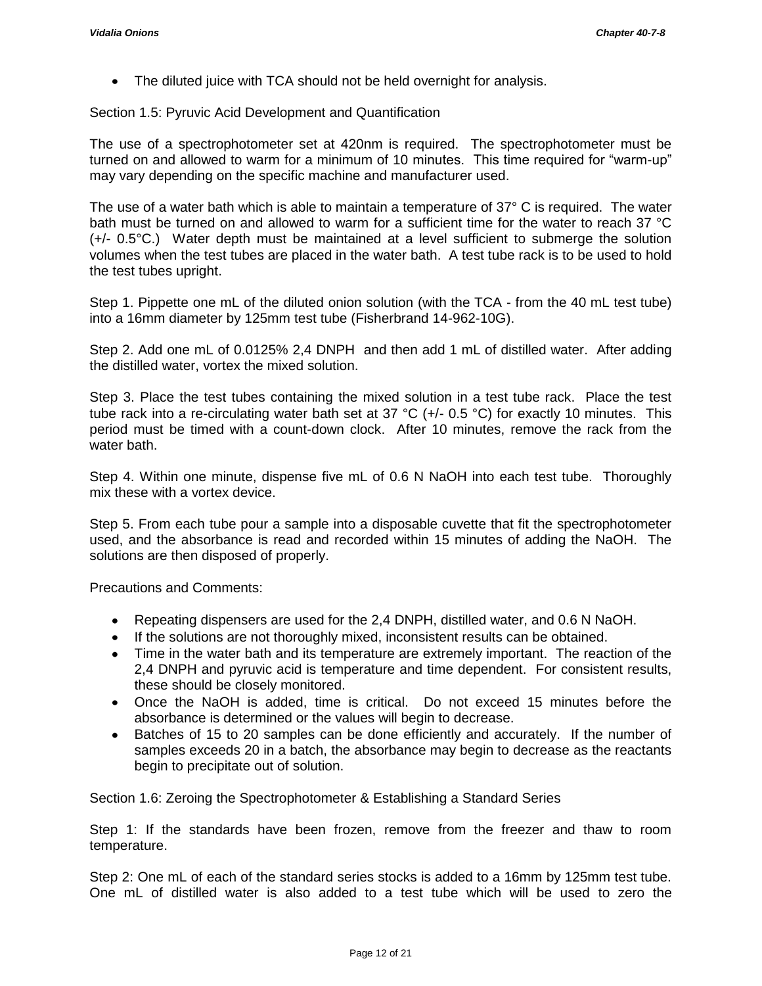The diluted juice with TCA should not be held overnight for analysis.

Section 1.5: Pyruvic Acid Development and Quantification

The use of a spectrophotometer set at 420nm is required. The spectrophotometer must be turned on and allowed to warm for a minimum of 10 minutes. This time required for "warm-up" may vary depending on the specific machine and manufacturer used.

The use of a water bath which is able to maintain a temperature of 37° C is required. The water bath must be turned on and allowed to warm for a sufficient time for the water to reach 37 °C (+/- 0.5°C.) Water depth must be maintained at a level sufficient to submerge the solution volumes when the test tubes are placed in the water bath. A test tube rack is to be used to hold the test tubes upright.

Step 1. Pippette one mL of the diluted onion solution (with the TCA - from the 40 mL test tube) into a 16mm diameter by 125mm test tube (Fisherbrand 14-962-10G).

Step 2. Add one mL of 0.0125% 2,4 DNPH and then add 1 mL of distilled water. After adding the distilled water, vortex the mixed solution.

Step 3. Place the test tubes containing the mixed solution in a test tube rack. Place the test tube rack into a re-circulating water bath set at 37 °C (+/- 0.5 °C) for exactly 10 minutes. This period must be timed with a count-down clock. After 10 minutes, remove the rack from the water bath.

Step 4. Within one minute, dispense five mL of 0.6 N NaOH into each test tube. Thoroughly mix these with a vortex device.

Step 5. From each tube pour a sample into a disposable cuvette that fit the spectrophotometer used, and the absorbance is read and recorded within 15 minutes of adding the NaOH. The solutions are then disposed of properly.

Precautions and Comments:

- Repeating dispensers are used for the 2,4 DNPH, distilled water, and 0.6 N NaOH.
- If the solutions are not thoroughly mixed, inconsistent results can be obtained.
- Time in the water bath and its temperature are extremely important. The reaction of the 2,4 DNPH and pyruvic acid is temperature and time dependent. For consistent results, these should be closely monitored.
- Once the NaOH is added, time is critical. Do not exceed 15 minutes before the absorbance is determined or the values will begin to decrease.
- Batches of 15 to 20 samples can be done efficiently and accurately. If the number of samples exceeds 20 in a batch, the absorbance may begin to decrease as the reactants begin to precipitate out of solution.

Section 1.6: Zeroing the Spectrophotometer & Establishing a Standard Series

Step 1: If the standards have been frozen, remove from the freezer and thaw to room temperature.

Step 2: One mL of each of the standard series stocks is added to a 16mm by 125mm test tube. One mL of distilled water is also added to a test tube which will be used to zero the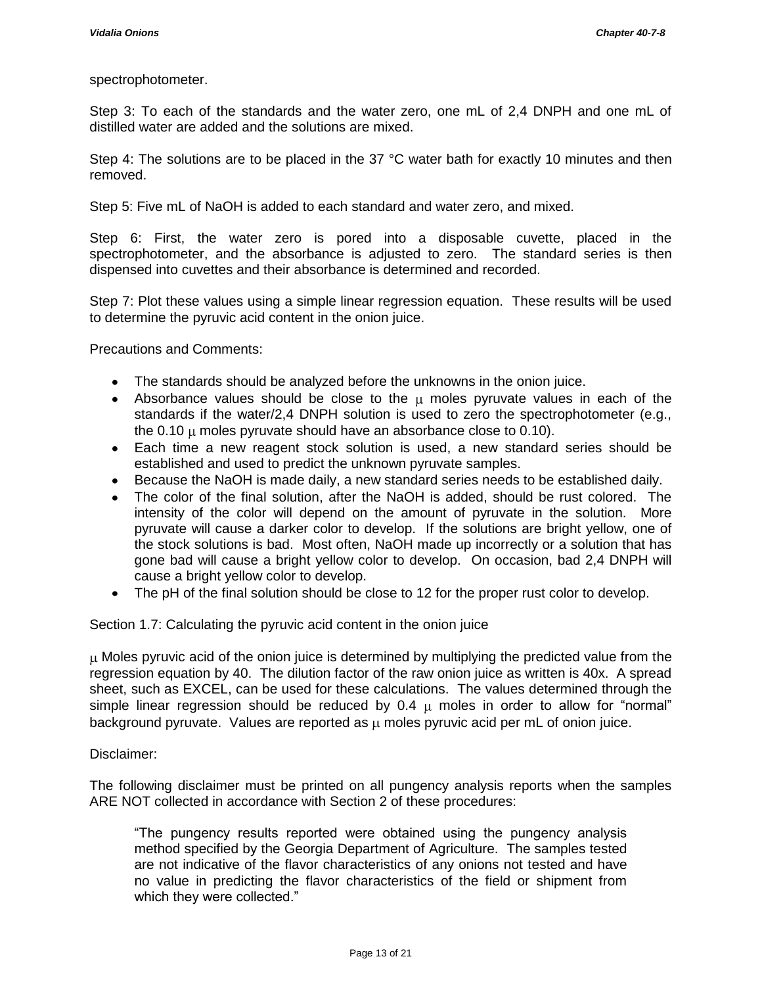## spectrophotometer.

Step 3: To each of the standards and the water zero, one mL of 2,4 DNPH and one mL of distilled water are added and the solutions are mixed.

Step 4: The solutions are to be placed in the 37 °C water bath for exactly 10 minutes and then removed.

Step 5: Five mL of NaOH is added to each standard and water zero, and mixed.

Step 6: First, the water zero is pored into a disposable cuvette, placed in the spectrophotometer, and the absorbance is adjusted to zero. The standard series is then dispensed into cuvettes and their absorbance is determined and recorded.

Step 7: Plot these values using a simple linear regression equation. These results will be used to determine the pyruvic acid content in the onion juice.

Precautions and Comments:

- The standards should be analyzed before the unknowns in the onion juice.
- Absorbance values should be close to the  $\mu$  moles pyruvate values in each of the standards if the water/2,4 DNPH solution is used to zero the spectrophotometer (e.g., the  $0.10 \mu$  moles pyruvate should have an absorbance close to  $0.10$ ).
- Each time a new reagent stock solution is used, a new standard series should be established and used to predict the unknown pyruvate samples.
- Because the NaOH is made daily, a new standard series needs to be established daily.
- The color of the final solution, after the NaOH is added, should be rust colored. The intensity of the color will depend on the amount of pyruvate in the solution. More pyruvate will cause a darker color to develop. If the solutions are bright yellow, one of the stock solutions is bad. Most often, NaOH made up incorrectly or a solution that has gone bad will cause a bright yellow color to develop. On occasion, bad 2,4 DNPH will cause a bright yellow color to develop.
- The pH of the final solution should be close to 12 for the proper rust color to develop.

Section 1.7: Calculating the pyruvic acid content in the onion juice

 $\mu$  Moles pyruvic acid of the onion juice is determined by multiplying the predicted value from the regression equation by 40. The dilution factor of the raw onion juice as written is 40x. A spread sheet, such as EXCEL, can be used for these calculations. The values determined through the simple linear regression should be reduced by 0.4  $\mu$  moles in order to allow for "normal" background pyruvate. Values are reported as  $\mu$  moles pyruvic acid per mL of onion juice.

Disclaimer:

The following disclaimer must be printed on all pungency analysis reports when the samples ARE NOT collected in accordance with Section 2 of these procedures:

"The pungency results reported were obtained using the pungency analysis method specified by the Georgia Department of Agriculture. The samples tested are not indicative of the flavor characteristics of any onions not tested and have no value in predicting the flavor characteristics of the field or shipment from which they were collected."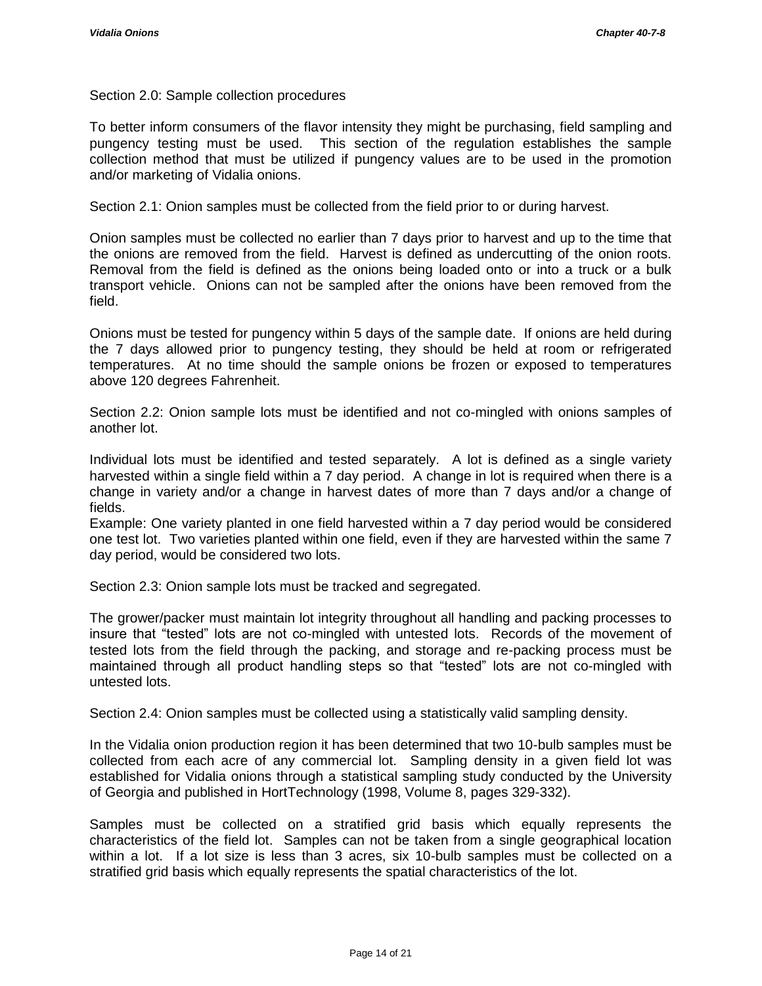Section 2.0: Sample collection procedures

To better inform consumers of the flavor intensity they might be purchasing, field sampling and pungency testing must be used. This section of the regulation establishes the sample collection method that must be utilized if pungency values are to be used in the promotion and/or marketing of Vidalia onions.

Section 2.1: Onion samples must be collected from the field prior to or during harvest.

Onion samples must be collected no earlier than 7 days prior to harvest and up to the time that the onions are removed from the field. Harvest is defined as undercutting of the onion roots. Removal from the field is defined as the onions being loaded onto or into a truck or a bulk transport vehicle. Onions can not be sampled after the onions have been removed from the field.

Onions must be tested for pungency within 5 days of the sample date. If onions are held during the 7 days allowed prior to pungency testing, they should be held at room or refrigerated temperatures. At no time should the sample onions be frozen or exposed to temperatures above 120 degrees Fahrenheit.

Section 2.2: Onion sample lots must be identified and not co-mingled with onions samples of another lot.

Individual lots must be identified and tested separately. A lot is defined as a single variety harvested within a single field within a 7 day period. A change in lot is required when there is a change in variety and/or a change in harvest dates of more than 7 days and/or a change of fields.

Example: One variety planted in one field harvested within a 7 day period would be considered one test lot. Two varieties planted within one field, even if they are harvested within the same 7 day period, would be considered two lots.

Section 2.3: Onion sample lots must be tracked and segregated.

The grower/packer must maintain lot integrity throughout all handling and packing processes to insure that "tested" lots are not co-mingled with untested lots. Records of the movement of tested lots from the field through the packing, and storage and re-packing process must be maintained through all product handling steps so that "tested" lots are not co-mingled with untested lots.

Section 2.4: Onion samples must be collected using a statistically valid sampling density.

In the Vidalia onion production region it has been determined that two 10-bulb samples must be collected from each acre of any commercial lot. Sampling density in a given field lot was established for Vidalia onions through a statistical sampling study conducted by the University of Georgia and published in HortTechnology (1998, Volume 8, pages 329-332).

Samples must be collected on a stratified grid basis which equally represents the characteristics of the field lot. Samples can not be taken from a single geographical location within a lot. If a lot size is less than 3 acres, six 10-bulb samples must be collected on a stratified grid basis which equally represents the spatial characteristics of the lot.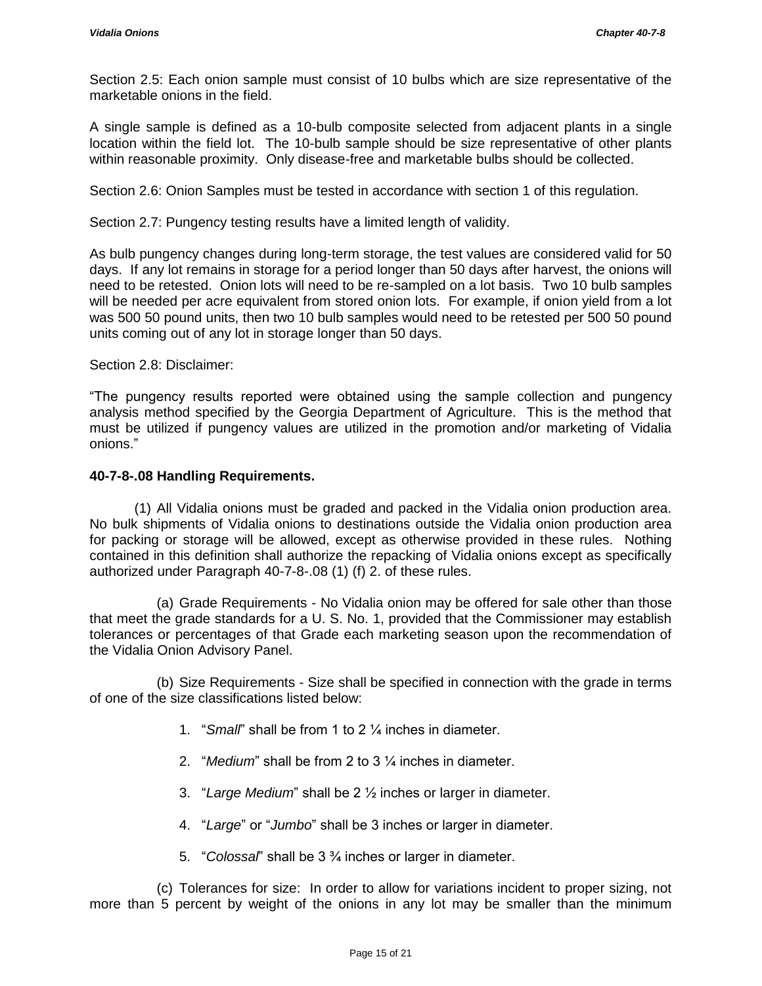Section 2.5: Each onion sample must consist of 10 bulbs which are size representative of the marketable onions in the field.

A single sample is defined as a 10-bulb composite selected from adjacent plants in a single location within the field lot. The 10-bulb sample should be size representative of other plants within reasonable proximity. Only disease-free and marketable bulbs should be collected.

Section 2.6: Onion Samples must be tested in accordance with section 1 of this regulation.

Section 2.7: Pungency testing results have a limited length of validity.

As bulb pungency changes during long-term storage, the test values are considered valid for 50 days. If any lot remains in storage for a period longer than 50 days after harvest, the onions will need to be retested. Onion lots will need to be re-sampled on a lot basis. Two 10 bulb samples will be needed per acre equivalent from stored onion lots. For example, if onion yield from a lot was 500 50 pound units, then two 10 bulb samples would need to be retested per 500 50 pound units coming out of any lot in storage longer than 50 days.

Section 2.8: Disclaimer:

"The pungency results reported were obtained using the sample collection and pungency analysis method specified by the Georgia Department of Agriculture. This is the method that must be utilized if pungency values are utilized in the promotion and/or marketing of Vidalia onions."

# **40-7-8-.08 Handling Requirements.**

(1) All Vidalia onions must be graded and packed in the Vidalia onion production area. No bulk shipments of Vidalia onions to destinations outside the Vidalia onion production area for packing or storage will be allowed, except as otherwise provided in these rules. Nothing contained in this definition shall authorize the repacking of Vidalia onions except as specifically authorized under Paragraph 40-7-8-.08 (1) (f) 2. of these rules.

(a) Grade Requirements - No Vidalia onion may be offered for sale other than those that meet the grade standards for a U. S. No. 1, provided that the Commissioner may establish tolerances or percentages of that Grade each marketing season upon the recommendation of the Vidalia Onion Advisory Panel.

(b) Size Requirements - Size shall be specified in connection with the grade in terms of one of the size classifications listed below:

- 1. "*Small*" shall be from 1 to 2 ¼ inches in diameter.
- 2. "*Medium*" shall be from 2 to 3 ¼ inches in diameter.
- 3. "*Large Medium*" shall be 2 ½ inches or larger in diameter.
- 4. "*Large*" or "*Jumbo*" shall be 3 inches or larger in diameter.
- 5. "*Colossal*" shall be 3 ¾ inches or larger in diameter.

(c) Tolerances for size: In order to allow for variations incident to proper sizing, not more than 5 percent by weight of the onions in any lot may be smaller than the minimum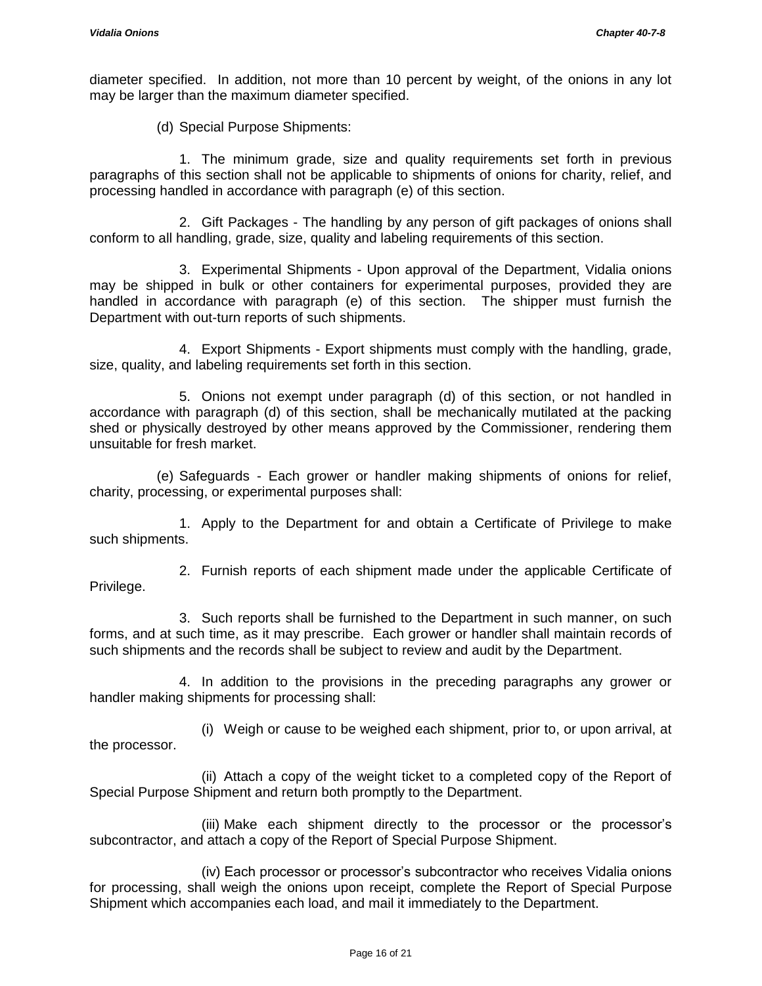diameter specified. In addition, not more than 10 percent by weight, of the onions in any lot may be larger than the maximum diameter specified.

(d) Special Purpose Shipments:

1. The minimum grade, size and quality requirements set forth in previous paragraphs of this section shall not be applicable to shipments of onions for charity, relief, and processing handled in accordance with paragraph (e) of this section.

2. Gift Packages - The handling by any person of gift packages of onions shall conform to all handling, grade, size, quality and labeling requirements of this section.

3. Experimental Shipments - Upon approval of the Department, Vidalia onions may be shipped in bulk or other containers for experimental purposes, provided they are handled in accordance with paragraph (e) of this section. The shipper must furnish the Department with out-turn reports of such shipments.

4. Export Shipments - Export shipments must comply with the handling, grade, size, quality, and labeling requirements set forth in this section.

5. Onions not exempt under paragraph (d) of this section, or not handled in accordance with paragraph (d) of this section, shall be mechanically mutilated at the packing shed or physically destroyed by other means approved by the Commissioner, rendering them unsuitable for fresh market.

(e) Safeguards - Each grower or handler making shipments of onions for relief, charity, processing, or experimental purposes shall:

1. Apply to the Department for and obtain a Certificate of Privilege to make such shipments.

2. Furnish reports of each shipment made under the applicable Certificate of Privilege.

3. Such reports shall be furnished to the Department in such manner, on such forms, and at such time, as it may prescribe. Each grower or handler shall maintain records of such shipments and the records shall be subject to review and audit by the Department.

4. In addition to the provisions in the preceding paragraphs any grower or handler making shipments for processing shall:

(i) Weigh or cause to be weighed each shipment, prior to, or upon arrival, at the processor.

(ii) Attach a copy of the weight ticket to a completed copy of the Report of Special Purpose Shipment and return both promptly to the Department.

(iii) Make each shipment directly to the processor or the processor's subcontractor, and attach a copy of the Report of Special Purpose Shipment.

(iv) Each processor or processor's subcontractor who receives Vidalia onions for processing, shall weigh the onions upon receipt, complete the Report of Special Purpose Shipment which accompanies each load, and mail it immediately to the Department.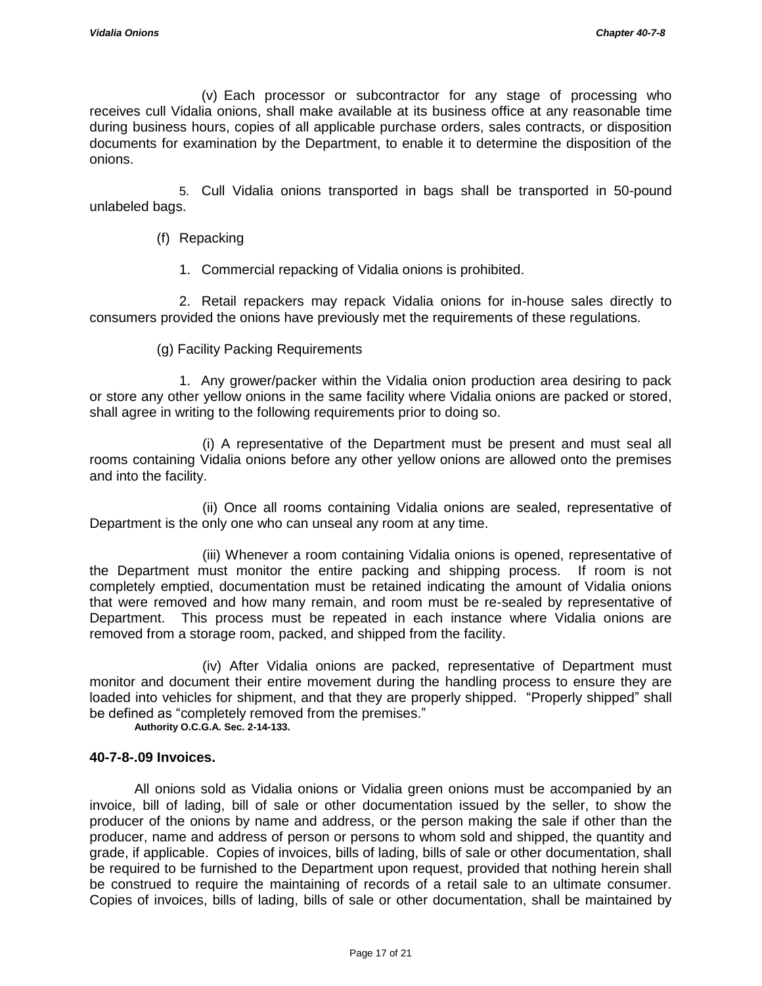(v) Each processor or subcontractor for any stage of processing who receives cull Vidalia onions, shall make available at its business office at any reasonable time during business hours, copies of all applicable purchase orders, sales contracts, or disposition documents for examination by the Department, to enable it to determine the disposition of the onions.

5. Cull Vidalia onions transported in bags shall be transported in 50-pound unlabeled bags.

- (f) Repacking
	- 1. Commercial repacking of Vidalia onions is prohibited.

2. Retail repackers may repack Vidalia onions for in-house sales directly to consumers provided the onions have previously met the requirements of these regulations.

(g) Facility Packing Requirements

1. Any grower/packer within the Vidalia onion production area desiring to pack or store any other yellow onions in the same facility where Vidalia onions are packed or stored, shall agree in writing to the following requirements prior to doing so.

 (i) A representative of the Department must be present and must seal all rooms containing Vidalia onions before any other yellow onions are allowed onto the premises and into the facility.

 (ii) Once all rooms containing Vidalia onions are sealed, representative of Department is the only one who can unseal any room at any time.

 (iii) Whenever a room containing Vidalia onions is opened, representative of the Department must monitor the entire packing and shipping process. If room is not completely emptied, documentation must be retained indicating the amount of Vidalia onions that were removed and how many remain, and room must be re-sealed by representative of Department. This process must be repeated in each instance where Vidalia onions are removed from a storage room, packed, and shipped from the facility.

 (iv) After Vidalia onions are packed, representative of Department must monitor and document their entire movement during the handling process to ensure they are loaded into vehicles for shipment, and that they are properly shipped. "Properly shipped" shall be defined as "completely removed from the premises."

**Authority O.C.G.A. Sec. 2-14-133.**

# **40-7-8-.09 Invoices.**

All onions sold as Vidalia onions or Vidalia green onions must be accompanied by an invoice, bill of lading, bill of sale or other documentation issued by the seller, to show the producer of the onions by name and address, or the person making the sale if other than the producer, name and address of person or persons to whom sold and shipped, the quantity and grade, if applicable. Copies of invoices, bills of lading, bills of sale or other documentation, shall be required to be furnished to the Department upon request, provided that nothing herein shall be construed to require the maintaining of records of a retail sale to an ultimate consumer. Copies of invoices, bills of lading, bills of sale or other documentation, shall be maintained by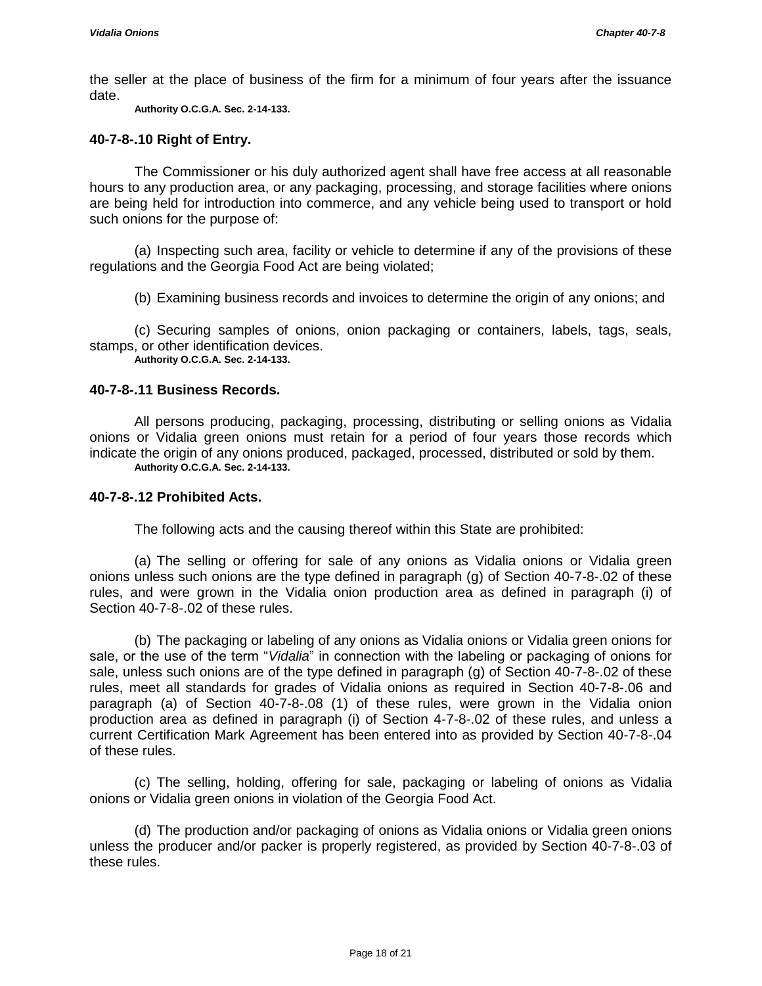the seller at the place of business of the firm for a minimum of four years after the issuance date.

**Authority O.C.G.A. Sec. 2-14-133.**

## **40-7-8-.10 Right of Entry.**

The Commissioner or his duly authorized agent shall have free access at all reasonable hours to any production area, or any packaging, processing, and storage facilities where onions are being held for introduction into commerce, and any vehicle being used to transport or hold such onions for the purpose of:

(a) Inspecting such area, facility or vehicle to determine if any of the provisions of these regulations and the Georgia Food Act are being violated;

(b) Examining business records and invoices to determine the origin of any onions; and

(c) Securing samples of onions, onion packaging or containers, labels, tags, seals, stamps, or other identification devices.

**Authority O.C.G.A. Sec. 2-14-133.**

## **40-7-8-.11 Business Records.**

All persons producing, packaging, processing, distributing or selling onions as Vidalia onions or Vidalia green onions must retain for a period of four years those records which indicate the origin of any onions produced, packaged, processed, distributed or sold by them. **Authority O.C.G.A. Sec. 2-14-133.**

#### **40-7-8-.12 Prohibited Acts.**

The following acts and the causing thereof within this State are prohibited:

(a) The selling or offering for sale of any onions as Vidalia onions or Vidalia green onions unless such onions are the type defined in paragraph (g) of Section 40-7-8-.02 of these rules, and were grown in the Vidalia onion production area as defined in paragraph (i) of Section 40-7-8-.02 of these rules.

(b) The packaging or labeling of any onions as Vidalia onions or Vidalia green onions for sale, or the use of the term "*Vidalia*" in connection with the labeling or packaging of onions for sale, unless such onions are of the type defined in paragraph (g) of Section 40-7-8-.02 of these rules, meet all standards for grades of Vidalia onions as required in Section 40-7-8-.06 and paragraph (a) of Section 40-7-8-.08 (1) of these rules, were grown in the Vidalia onion production area as defined in paragraph (i) of Section 4-7-8-.02 of these rules, and unless a current Certification Mark Agreement has been entered into as provided by Section 40-7-8-.04 of these rules.

(c) The selling, holding, offering for sale, packaging or labeling of onions as Vidalia onions or Vidalia green onions in violation of the Georgia Food Act.

(d) The production and/or packaging of onions as Vidalia onions or Vidalia green onions unless the producer and/or packer is properly registered, as provided by Section 40-7-8-.03 of these rules.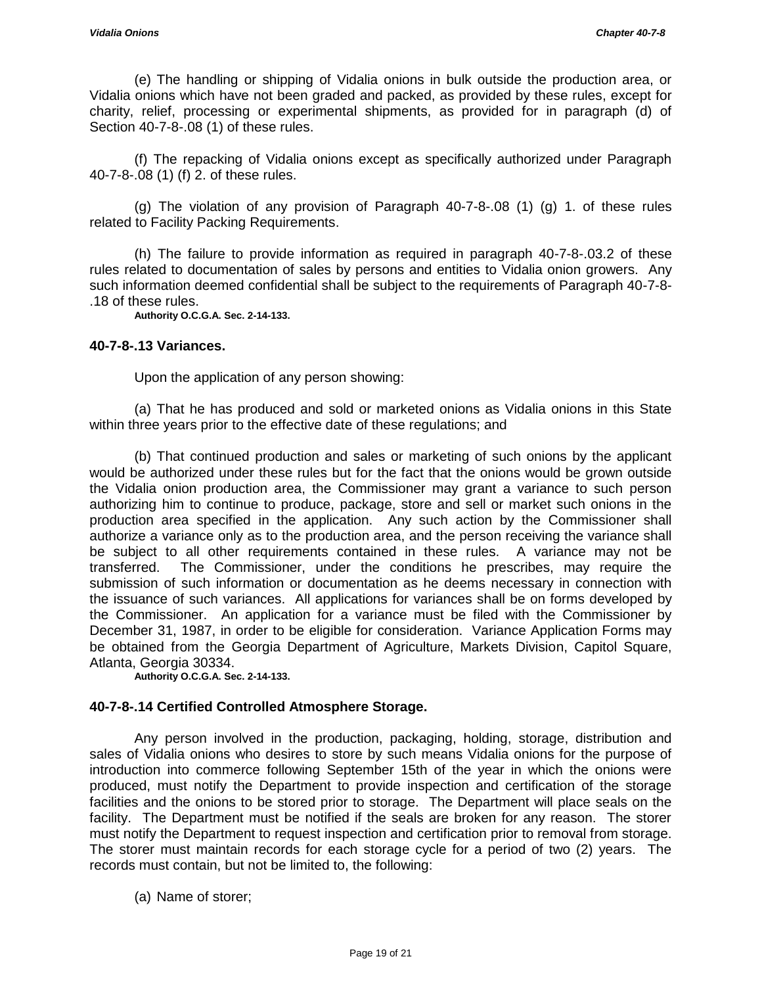(e) The handling or shipping of Vidalia onions in bulk outside the production area, or Vidalia onions which have not been graded and packed, as provided by these rules, except for charity, relief, processing or experimental shipments, as provided for in paragraph (d) of Section 40-7-8-.08 (1) of these rules.

(f) The repacking of Vidalia onions except as specifically authorized under Paragraph 40-7-8-.08 (1) (f) 2. of these rules.

(g) The violation of any provision of Paragraph 40-7-8-.08 (1) (g) 1. of these rules related to Facility Packing Requirements.

(h) The failure to provide information as required in paragraph 40-7-8-.03.2 of these rules related to documentation of sales by persons and entities to Vidalia onion growers. Any such information deemed confidential shall be subject to the requirements of Paragraph 40-7-8- .18 of these rules.

**Authority O.C.G.A. Sec. 2-14-133.**

### **40-7-8-.13 Variances.**

Upon the application of any person showing:

(a) That he has produced and sold or marketed onions as Vidalia onions in this State within three years prior to the effective date of these regulations; and

(b) That continued production and sales or marketing of such onions by the applicant would be authorized under these rules but for the fact that the onions would be grown outside the Vidalia onion production area, the Commissioner may grant a variance to such person authorizing him to continue to produce, package, store and sell or market such onions in the production area specified in the application. Any such action by the Commissioner shall authorize a variance only as to the production area, and the person receiving the variance shall be subject to all other requirements contained in these rules. A variance may not be transferred. The Commissioner, under the conditions he prescribes, may require the submission of such information or documentation as he deems necessary in connection with the issuance of such variances. All applications for variances shall be on forms developed by the Commissioner. An application for a variance must be filed with the Commissioner by December 31, 1987, in order to be eligible for consideration. Variance Application Forms may be obtained from the Georgia Department of Agriculture, Markets Division, Capitol Square, Atlanta, Georgia 30334.

**Authority O.C.G.A. Sec. 2-14-133.**

# **40-7-8-.14 Certified Controlled Atmosphere Storage.**

Any person involved in the production, packaging, holding, storage, distribution and sales of Vidalia onions who desires to store by such means Vidalia onions for the purpose of introduction into commerce following September 15th of the year in which the onions were produced, must notify the Department to provide inspection and certification of the storage facilities and the onions to be stored prior to storage. The Department will place seals on the facility. The Department must be notified if the seals are broken for any reason. The storer must notify the Department to request inspection and certification prior to removal from storage. The storer must maintain records for each storage cycle for a period of two (2) years. The records must contain, but not be limited to, the following:

(a) Name of storer;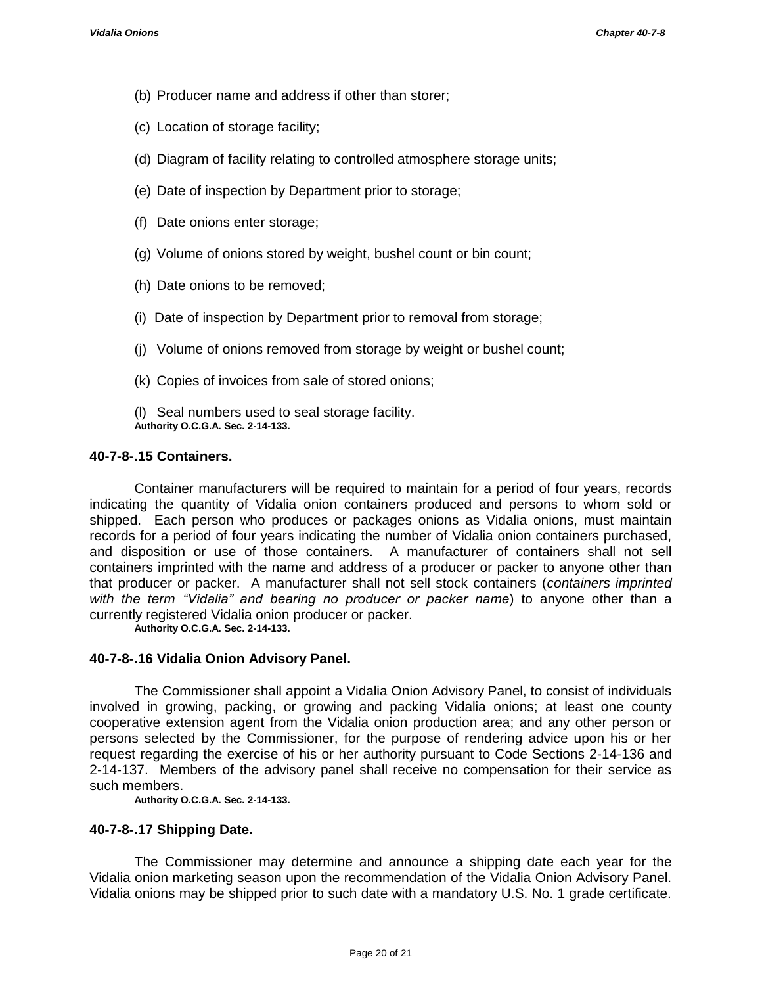- (b) Producer name and address if other than storer;
- (c) Location of storage facility;
- (d) Diagram of facility relating to controlled atmosphere storage units;
- (e) Date of inspection by Department prior to storage;
- (f) Date onions enter storage;
- (g) Volume of onions stored by weight, bushel count or bin count;
- (h) Date onions to be removed;
- (i) Date of inspection by Department prior to removal from storage;
- (j) Volume of onions removed from storage by weight or bushel count;
- (k) Copies of invoices from sale of stored onions;
- (l) Seal numbers used to seal storage facility. **Authority O.C.G.A. Sec. 2-14-133.**

# **40-7-8-.15 Containers.**

Container manufacturers will be required to maintain for a period of four years, records indicating the quantity of Vidalia onion containers produced and persons to whom sold or shipped. Each person who produces or packages onions as Vidalia onions, must maintain records for a period of four years indicating the number of Vidalia onion containers purchased, and disposition or use of those containers. A manufacturer of containers shall not sell containers imprinted with the name and address of a producer or packer to anyone other than that producer or packer. A manufacturer shall not sell stock containers (*containers imprinted with the term "Vidalia" and bearing no producer or packer name*) to anyone other than a currently registered Vidalia onion producer or packer.

**Authority O.C.G.A. Sec. 2-14-133.**

# **40-7-8-.16 Vidalia Onion Advisory Panel.**

The Commissioner shall appoint a Vidalia Onion Advisory Panel, to consist of individuals involved in growing, packing, or growing and packing Vidalia onions; at least one county cooperative extension agent from the Vidalia onion production area; and any other person or persons selected by the Commissioner, for the purpose of rendering advice upon his or her request regarding the exercise of his or her authority pursuant to Code Sections 2-14-136 and 2-14-137. Members of the advisory panel shall receive no compensation for their service as such members.

**Authority O.C.G.A. Sec. 2-14-133.**

# **40-7-8-.17 Shipping Date.**

The Commissioner may determine and announce a shipping date each year for the Vidalia onion marketing season upon the recommendation of the Vidalia Onion Advisory Panel. Vidalia onions may be shipped prior to such date with a mandatory U.S. No. 1 grade certificate.